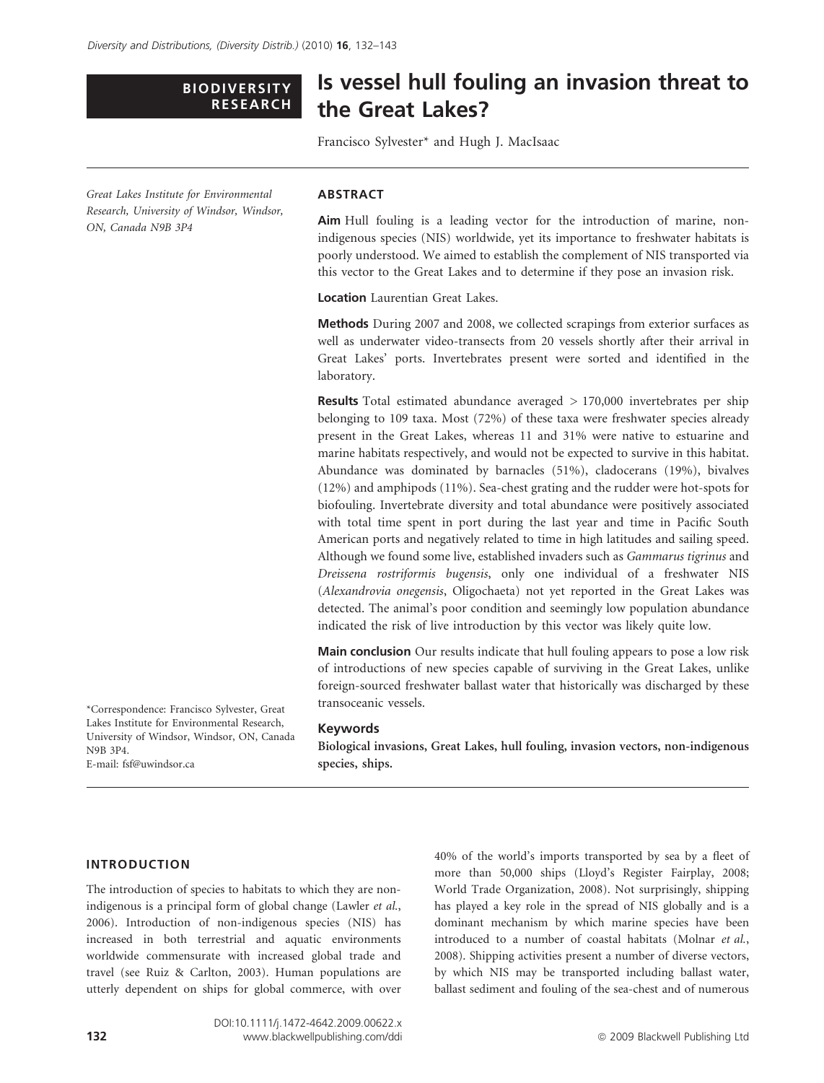# **BIODIVERSITY RESEARCH**

# Is vessel hull fouling an invasion threat to the Great Lakes?

Francisco Sylvester\* and Hugh J. MacIsaac

Great Lakes Institute for Environmental Research, University of Windsor, Windsor, ON, Canada N9B 3P4

#### ABSTRACT

Aim Hull fouling is a leading vector for the introduction of marine, nonindigenous species (NIS) worldwide, yet its importance to freshwater habitats is poorly understood. We aimed to establish the complement of NIS transported via this vector to the Great Lakes and to determine if they pose an invasion risk.

Location Laurentian Great Lakes.

Methods During 2007 and 2008, we collected scrapings from exterior surfaces as well as underwater video-transects from 20 vessels shortly after their arrival in Great Lakes' ports. Invertebrates present were sorted and identified in the laboratory.

**Results** Total estimated abundance averaged  $> 170,000$  invertebrates per ship belonging to 109 taxa. Most (72%) of these taxa were freshwater species already present in the Great Lakes, whereas 11 and 31% were native to estuarine and marine habitats respectively, and would not be expected to survive in this habitat. Abundance was dominated by barnacles (51%), cladocerans (19%), bivalves (12%) and amphipods (11%). Sea-chest grating and the rudder were hot-spots for biofouling. Invertebrate diversity and total abundance were positively associated with total time spent in port during the last year and time in Pacific South American ports and negatively related to time in high latitudes and sailing speed. Although we found some live, established invaders such as Gammarus tigrinus and Dreissena rostriformis bugensis, only one individual of a freshwater NIS (Alexandrovia onegensis, Oligochaeta) not yet reported in the Great Lakes was detected. The animal's poor condition and seemingly low population abundance indicated the risk of live introduction by this vector was likely quite low.

Main conclusion Our results indicate that hull fouling appears to pose a low risk of introductions of new species capable of surviving in the Great Lakes, unlike foreign-sourced freshwater ballast water that historically was discharged by these transoceanic vessels.

#### Keywords

Biological invasions, Great Lakes, hull fouling, invasion vectors, non-indigenous species, ships.

\*Correspondence: Francisco Sylvester, Great Lakes Institute for Environmental Research, University of Windsor, Windsor, ON, Canada N9B 3P4. E-mail: fsf@uwindsor.ca

# INTRODUCTION

The introduction of species to habitats to which they are nonindigenous is a principal form of global change (Lawler *et al.*, 2006). Introduction of non-indigenous species (NIS) has increased in both terrestrial and aquatic environments worldwide commensurate with increased global trade and travel (see Ruiz & Carlton, 2003). Human populations are utterly dependent on ships for global commerce, with over 40% of the world's imports transported by sea by a fleet of more than 50,000 ships (Lloyd's Register Fairplay, 2008; World Trade Organization, 2008). Not surprisingly, shipping has played a key role in the spread of NIS globally and is a dominant mechanism by which marine species have been introduced to a number of coastal habitats (Molnar et al., 2008). Shipping activities present a number of diverse vectors, by which NIS may be transported including ballast water, ballast sediment and fouling of the sea-chest and of numerous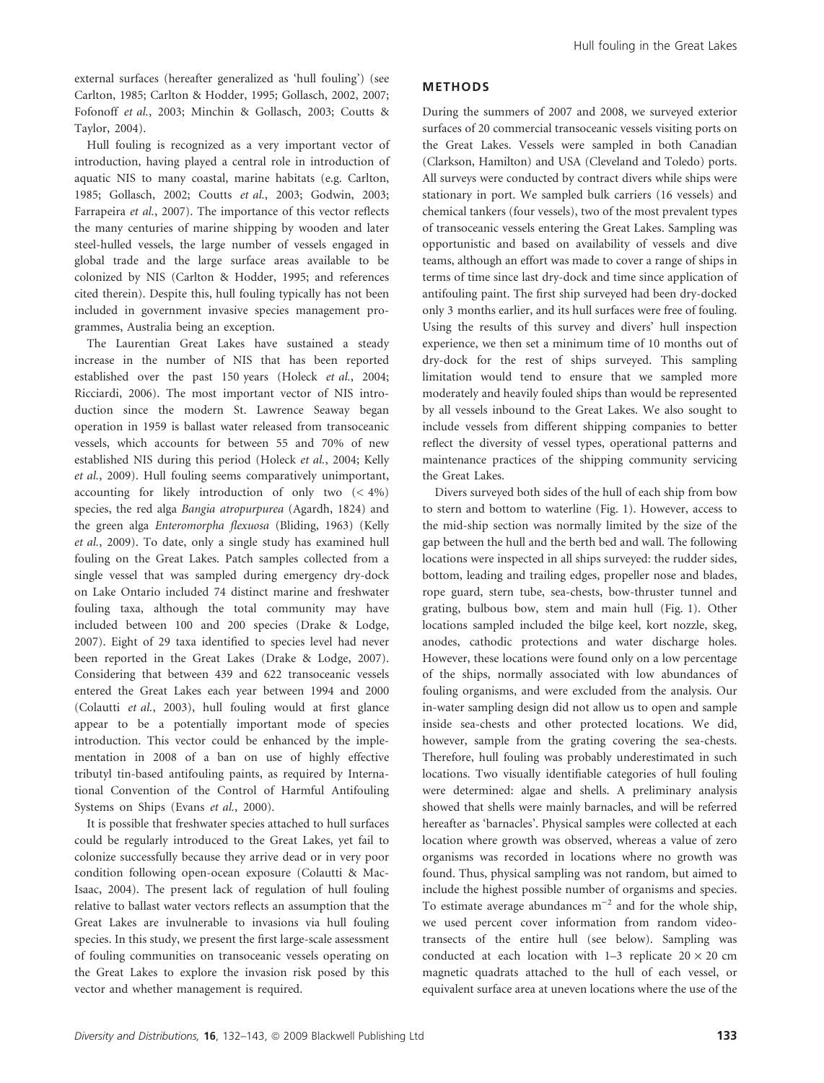external surfaces (hereafter generalized as 'hull fouling') (see Carlton, 1985; Carlton & Hodder, 1995; Gollasch, 2002, 2007; Fofonoff et al., 2003; Minchin & Gollasch, 2003; Coutts & Taylor, 2004).

Hull fouling is recognized as a very important vector of introduction, having played a central role in introduction of aquatic NIS to many coastal, marine habitats (e.g. Carlton, 1985; Gollasch, 2002; Coutts et al., 2003; Godwin, 2003; Farrapeira et al., 2007). The importance of this vector reflects the many centuries of marine shipping by wooden and later steel-hulled vessels, the large number of vessels engaged in global trade and the large surface areas available to be colonized by NIS (Carlton & Hodder, 1995; and references cited therein). Despite this, hull fouling typically has not been included in government invasive species management programmes, Australia being an exception.

The Laurentian Great Lakes have sustained a steady increase in the number of NIS that has been reported established over the past 150 years (Holeck et al., 2004; Ricciardi, 2006). The most important vector of NIS introduction since the modern St. Lawrence Seaway began operation in 1959 is ballast water released from transoceanic vessels, which accounts for between 55 and 70% of new established NIS during this period (Holeck et al., 2004; Kelly et al., 2009). Hull fouling seems comparatively unimportant, accounting for likely introduction of only two (< 4%) species, the red alga Bangia atropurpurea (Agardh, 1824) and the green alga Enteromorpha flexuosa (Bliding, 1963) (Kelly et al., 2009). To date, only a single study has examined hull fouling on the Great Lakes. Patch samples collected from a single vessel that was sampled during emergency dry-dock on Lake Ontario included 74 distinct marine and freshwater fouling taxa, although the total community may have included between 100 and 200 species (Drake & Lodge, 2007). Eight of 29 taxa identified to species level had never been reported in the Great Lakes (Drake & Lodge, 2007). Considering that between 439 and 622 transoceanic vessels entered the Great Lakes each year between 1994 and 2000 (Colautti et al., 2003), hull fouling would at first glance appear to be a potentially important mode of species introduction. This vector could be enhanced by the implementation in 2008 of a ban on use of highly effective tributyl tin-based antifouling paints, as required by International Convention of the Control of Harmful Antifouling Systems on Ships (Evans et al., 2000).

It is possible that freshwater species attached to hull surfaces could be regularly introduced to the Great Lakes, yet fail to colonize successfully because they arrive dead or in very poor condition following open-ocean exposure (Colautti & Mac-Isaac, 2004). The present lack of regulation of hull fouling relative to ballast water vectors reflects an assumption that the Great Lakes are invulnerable to invasions via hull fouling species. In this study, we present the first large-scale assessment of fouling communities on transoceanic vessels operating on the Great Lakes to explore the invasion risk posed by this vector and whether management is required.

# METHODS

During the summers of 2007 and 2008, we surveyed exterior surfaces of 20 commercial transoceanic vessels visiting ports on the Great Lakes. Vessels were sampled in both Canadian (Clarkson, Hamilton) and USA (Cleveland and Toledo) ports. All surveys were conducted by contract divers while ships were stationary in port. We sampled bulk carriers (16 vessels) and chemical tankers (four vessels), two of the most prevalent types of transoceanic vessels entering the Great Lakes. Sampling was opportunistic and based on availability of vessels and dive teams, although an effort was made to cover a range of ships in terms of time since last dry-dock and time since application of antifouling paint. The first ship surveyed had been dry-docked only 3 months earlier, and its hull surfaces were free of fouling. Using the results of this survey and divers' hull inspection experience, we then set a minimum time of 10 months out of dry-dock for the rest of ships surveyed. This sampling limitation would tend to ensure that we sampled more moderately and heavily fouled ships than would be represented by all vessels inbound to the Great Lakes. We also sought to include vessels from different shipping companies to better reflect the diversity of vessel types, operational patterns and maintenance practices of the shipping community servicing the Great Lakes.

Divers surveyed both sides of the hull of each ship from bow to stern and bottom to waterline (Fig. 1). However, access to the mid-ship section was normally limited by the size of the gap between the hull and the berth bed and wall. The following locations were inspected in all ships surveyed: the rudder sides, bottom, leading and trailing edges, propeller nose and blades, rope guard, stern tube, sea-chests, bow-thruster tunnel and grating, bulbous bow, stem and main hull (Fig. 1). Other locations sampled included the bilge keel, kort nozzle, skeg, anodes, cathodic protections and water discharge holes. However, these locations were found only on a low percentage of the ships, normally associated with low abundances of fouling organisms, and were excluded from the analysis. Our in-water sampling design did not allow us to open and sample inside sea-chests and other protected locations. We did, however, sample from the grating covering the sea-chests. Therefore, hull fouling was probably underestimated in such locations. Two visually identifiable categories of hull fouling were determined: algae and shells. A preliminary analysis showed that shells were mainly barnacles, and will be referred hereafter as 'barnacles'. Physical samples were collected at each location where growth was observed, whereas a value of zero organisms was recorded in locations where no growth was found. Thus, physical sampling was not random, but aimed to include the highest possible number of organisms and species. To estimate average abundances  $m^{-2}$  and for the whole ship, we used percent cover information from random videotransects of the entire hull (see below). Sampling was conducted at each location with  $1-3$  replicate  $20 \times 20$  cm magnetic quadrats attached to the hull of each vessel, or equivalent surface area at uneven locations where the use of the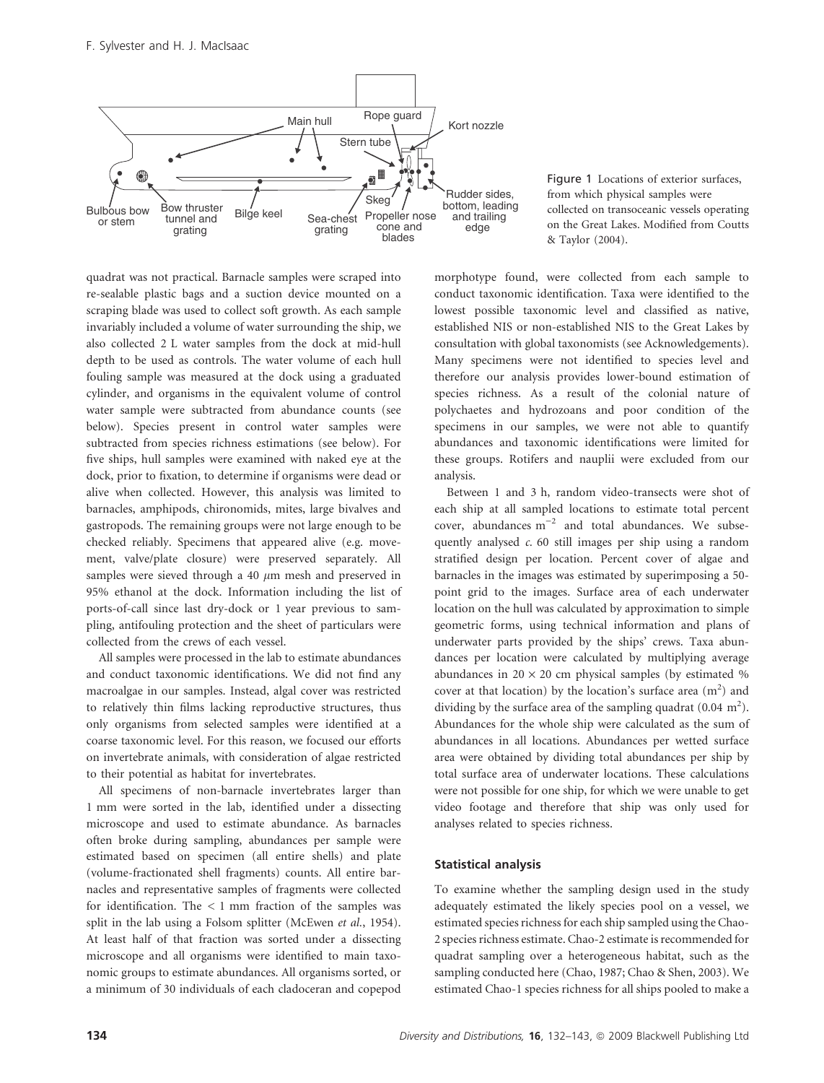

quadrat was not practical. Barnacle samples were scraped into re-sealable plastic bags and a suction device mounted on a scraping blade was used to collect soft growth. As each sample invariably included a volume of water surrounding the ship, we also collected 2 L water samples from the dock at mid-hull depth to be used as controls. The water volume of each hull fouling sample was measured at the dock using a graduated cylinder, and organisms in the equivalent volume of control water sample were subtracted from abundance counts (see below). Species present in control water samples were subtracted from species richness estimations (see below). For five ships, hull samples were examined with naked eye at the dock, prior to fixation, to determine if organisms were dead or alive when collected. However, this analysis was limited to barnacles, amphipods, chironomids, mites, large bivalves and gastropods. The remaining groups were not large enough to be checked reliably. Specimens that appeared alive (e.g. movement, valve/plate closure) were preserved separately. All samples were sieved through a 40  $\mu$ m mesh and preserved in 95% ethanol at the dock. Information including the list of ports-of-call since last dry-dock or 1 year previous to sampling, antifouling protection and the sheet of particulars were collected from the crews of each vessel.

All samples were processed in the lab to estimate abundances and conduct taxonomic identifications. We did not find any macroalgae in our samples. Instead, algal cover was restricted to relatively thin films lacking reproductive structures, thus only organisms from selected samples were identified at a coarse taxonomic level. For this reason, we focused our efforts on invertebrate animals, with consideration of algae restricted to their potential as habitat for invertebrates.

All specimens of non-barnacle invertebrates larger than 1 mm were sorted in the lab, identified under a dissecting microscope and used to estimate abundance. As barnacles often broke during sampling, abundances per sample were estimated based on specimen (all entire shells) and plate (volume-fractionated shell fragments) counts. All entire barnacles and representative samples of fragments were collected for identification. The  $< 1$  mm fraction of the samples was split in the lab using a Folsom splitter (McEwen et al., 1954). At least half of that fraction was sorted under a dissecting microscope and all organisms were identified to main taxonomic groups to estimate abundances. All organisms sorted, or a minimum of 30 individuals of each cladoceran and copepod Figure 1 Locations of exterior surfaces, from which physical samples were collected on transoceanic vessels operating on the Great Lakes. Modified from Coutts & Taylor (2004).

morphotype found, were collected from each sample to conduct taxonomic identification. Taxa were identified to the lowest possible taxonomic level and classified as native, established NIS or non-established NIS to the Great Lakes by consultation with global taxonomists (see Acknowledgements). Many specimens were not identified to species level and therefore our analysis provides lower-bound estimation of species richness. As a result of the colonial nature of polychaetes and hydrozoans and poor condition of the specimens in our samples, we were not able to quantify abundances and taxonomic identifications were limited for these groups. Rotifers and nauplii were excluded from our analysis.

Between 1 and 3 h, random video-transects were shot of each ship at all sampled locations to estimate total percent cover, abundances  $m^{-2}$  and total abundances. We subsequently analysed c. 60 still images per ship using a random stratified design per location. Percent cover of algae and barnacles in the images was estimated by superimposing a 50 point grid to the images. Surface area of each underwater location on the hull was calculated by approximation to simple geometric forms, using technical information and plans of underwater parts provided by the ships' crews. Taxa abundances per location were calculated by multiplying average abundances in  $20 \times 20$  cm physical samples (by estimated % cover at that location) by the location's surface area  $(m<sup>2</sup>)$  and dividing by the surface area of the sampling quadrat  $(0.04 \text{ m}^2)$ . Abundances for the whole ship were calculated as the sum of abundances in all locations. Abundances per wetted surface area were obtained by dividing total abundances per ship by total surface area of underwater locations. These calculations were not possible for one ship, for which we were unable to get video footage and therefore that ship was only used for analyses related to species richness.

# Statistical analysis

To examine whether the sampling design used in the study adequately estimated the likely species pool on a vessel, we estimated species richness for each ship sampled using the Chao-2 species richness estimate. Chao-2 estimate is recommended for quadrat sampling over a heterogeneous habitat, such as the sampling conducted here (Chao, 1987; Chao & Shen, 2003). We estimated Chao-1 species richness for all ships pooled to make a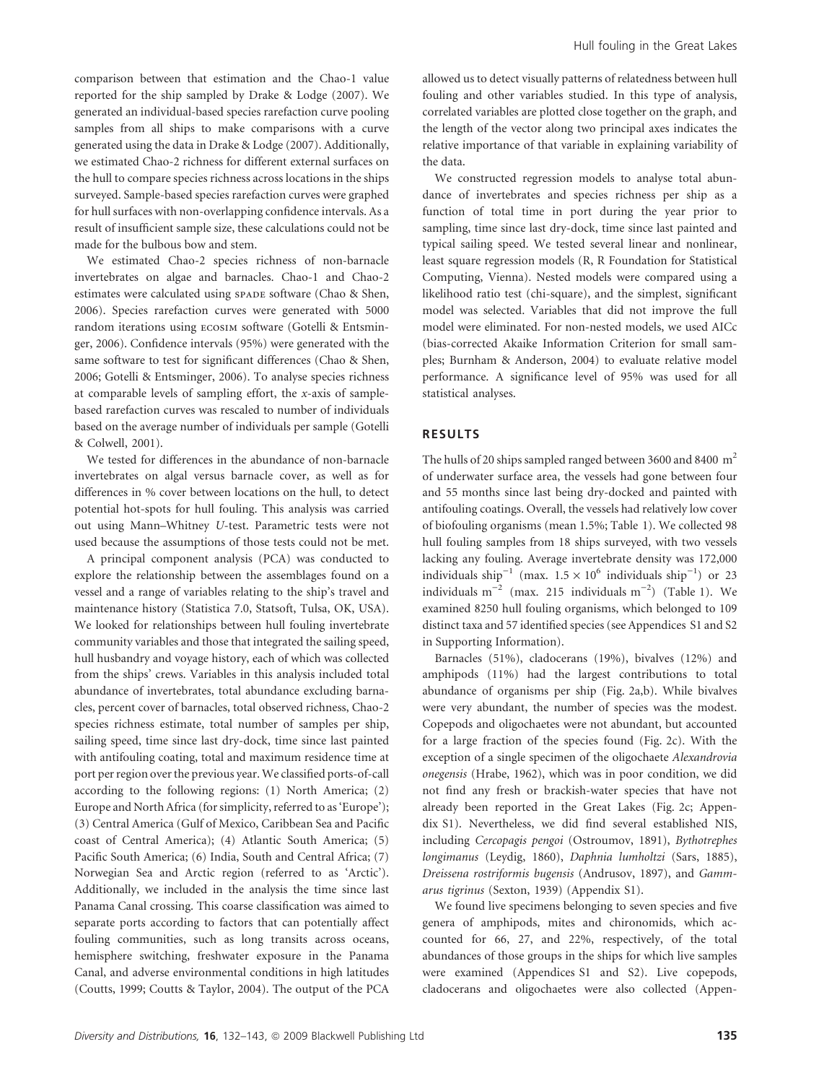comparison between that estimation and the Chao-1 value reported for the ship sampled by Drake & Lodge (2007). We generated an individual-based species rarefaction curve pooling samples from all ships to make comparisons with a curve generated using the data in Drake & Lodge (2007). Additionally, we estimated Chao-2 richness for different external surfaces on the hull to compare species richness across locations in the ships surveyed. Sample-based species rarefaction curves were graphed for hull surfaces with non-overlapping confidence intervals. As a result of insufficient sample size, these calculations could not be made for the bulbous bow and stem.

We estimated Chao-2 species richness of non-barnacle invertebrates on algae and barnacles. Chao-1 and Chao-2 estimates were calculated using spade software (Chao & Shen, 2006). Species rarefaction curves were generated with 5000 random iterations using ecosim software (Gotelli & Entsminger, 2006). Confidence intervals (95%) were generated with the same software to test for significant differences (Chao & Shen, 2006; Gotelli & Entsminger, 2006). To analyse species richness at comparable levels of sampling effort, the x-axis of samplebased rarefaction curves was rescaled to number of individuals based on the average number of individuals per sample (Gotelli & Colwell, 2001).

We tested for differences in the abundance of non-barnacle invertebrates on algal versus barnacle cover, as well as for differences in % cover between locations on the hull, to detect potential hot-spots for hull fouling. This analysis was carried out using Mann–Whitney U-test. Parametric tests were not used because the assumptions of those tests could not be met.

A principal component analysis (PCA) was conducted to explore the relationship between the assemblages found on a vessel and a range of variables relating to the ship's travel and maintenance history (Statistica 7.0, Statsoft, Tulsa, OK, USA). We looked for relationships between hull fouling invertebrate community variables and those that integrated the sailing speed, hull husbandry and voyage history, each of which was collected from the ships' crews. Variables in this analysis included total abundance of invertebrates, total abundance excluding barnacles, percent cover of barnacles, total observed richness, Chao-2 species richness estimate, total number of samples per ship, sailing speed, time since last dry-dock, time since last painted with antifouling coating, total and maximum residence time at port per region over the previous year. We classified ports-of-call according to the following regions: (1) North America; (2) Europe and North Africa (for simplicity, referred to as 'Europe'); (3) Central America (Gulf of Mexico, Caribbean Sea and Pacific coast of Central America); (4) Atlantic South America; (5) Pacific South America; (6) India, South and Central Africa; (7) Norwegian Sea and Arctic region (referred to as 'Arctic'). Additionally, we included in the analysis the time since last Panama Canal crossing. This coarse classification was aimed to separate ports according to factors that can potentially affect fouling communities, such as long transits across oceans, hemisphere switching, freshwater exposure in the Panama Canal, and adverse environmental conditions in high latitudes (Coutts, 1999; Coutts & Taylor, 2004). The output of the PCA allowed us to detect visually patterns of relatedness between hull fouling and other variables studied. In this type of analysis, correlated variables are plotted close together on the graph, and the length of the vector along two principal axes indicates the relative importance of that variable in explaining variability of the data.

We constructed regression models to analyse total abundance of invertebrates and species richness per ship as a function of total time in port during the year prior to sampling, time since last dry-dock, time since last painted and typical sailing speed. We tested several linear and nonlinear, least square regression models (R, R Foundation for Statistical Computing, Vienna). Nested models were compared using a likelihood ratio test (chi-square), and the simplest, significant model was selected. Variables that did not improve the full model were eliminated. For non-nested models, we used AICc (bias-corrected Akaike Information Criterion for small samples; Burnham & Anderson, 2004) to evaluate relative model performance. A significance level of 95% was used for all statistical analyses.

# RESULTS

The hulls of 20 ships sampled ranged between 3600 and 8400  $\,\mathrm{m}^2$ of underwater surface area, the vessels had gone between four and 55 months since last being dry-docked and painted with antifouling coatings. Overall, the vessels had relatively low cover of biofouling organisms (mean 1.5%; Table 1). We collected 98 hull fouling samples from 18 ships surveyed, with two vessels lacking any fouling. Average invertebrate density was 172,000 individuals ship<sup>-1</sup> (max.  $1.5 \times 10^6$  individuals ship<sup>-1</sup>) or 23 individuals  $m^{-2}$  (max. 215 individuals  $m^{-2}$ ) (Table 1). We examined 8250 hull fouling organisms, which belonged to 109 distinct taxa and 57 identified species (see Appendices S1 and S2 in Supporting Information).

Barnacles (51%), cladocerans (19%), bivalves (12%) and amphipods (11%) had the largest contributions to total abundance of organisms per ship (Fig. 2a,b). While bivalves were very abundant, the number of species was the modest. Copepods and oligochaetes were not abundant, but accounted for a large fraction of the species found (Fig. 2c). With the exception of a single specimen of the oligochaete Alexandrovia onegensis (Hrabe, 1962), which was in poor condition, we did not find any fresh or brackish-water species that have not already been reported in the Great Lakes (Fig. 2c; Appendix S1). Nevertheless, we did find several established NIS, including Cercopagis pengoi (Ostroumov, 1891), Bythotrephes longimanus (Leydig, 1860), Daphnia lumholtzi (Sars, 1885), Dreissena rostriformis bugensis (Andrusov, 1897), and Gammarus tigrinus (Sexton, 1939) (Appendix S1).

We found live specimens belonging to seven species and five genera of amphipods, mites and chironomids, which accounted for 66, 27, and 22%, respectively, of the total abundances of those groups in the ships for which live samples were examined (Appendices S1 and S2). Live copepods, cladocerans and oligochaetes were also collected (Appen-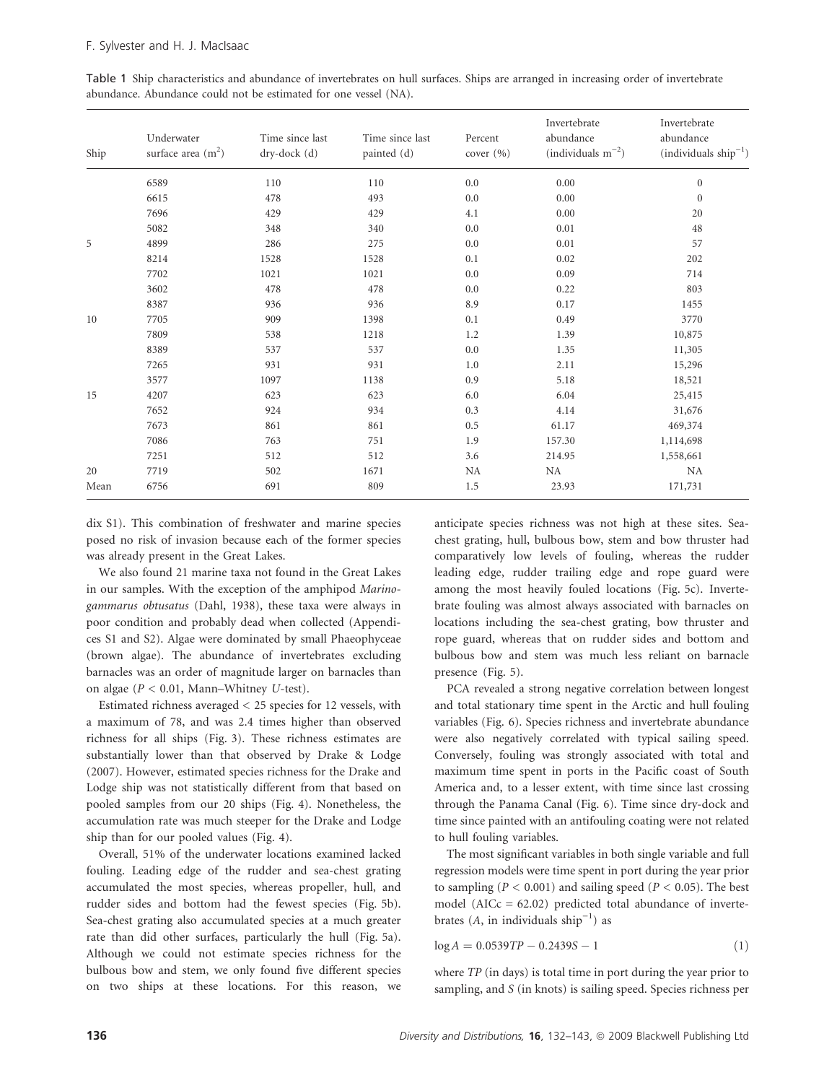| Ship | Underwater<br>surface area $(m2)$ | Time since last<br>dry-dock (d) | Time since last<br>painted (d) | Percent<br>cover $(\% )$ | Invertebrate<br>abundance<br>(individuals $m^{-2}$ ) | Invertebrate<br>abundance<br>$\left(\text{individuals ship}^{-1}\right)$ |
|------|-----------------------------------|---------------------------------|--------------------------------|--------------------------|------------------------------------------------------|--------------------------------------------------------------------------|
|      | 6589                              | 110                             | 110                            | $0.0\,$                  | 0.00                                                 | $\boldsymbol{0}$                                                         |
|      | 6615                              | 478                             | 493                            | $0.0\,$                  | 0.00                                                 | $\boldsymbol{0}$                                                         |
|      | 7696                              | 429                             | 429                            | 4.1                      | 0.00                                                 | 20                                                                       |
|      | 5082                              | 348                             | 340                            | $0.0\,$                  | 0.01                                                 | 48                                                                       |
| 5    | 4899                              | 286                             | 275                            | 0.0                      | 0.01                                                 | 57                                                                       |
|      | 8214                              | 1528                            | 1528                           | 0.1                      | 0.02                                                 | 202                                                                      |
|      | 7702                              | 1021                            | 1021                           | 0.0                      | 0.09                                                 | 714                                                                      |
|      | 3602                              | 478                             | 478                            | 0.0                      | 0.22                                                 | 803                                                                      |
|      | 8387                              | 936                             | 936                            | 8.9                      | 0.17                                                 | 1455                                                                     |
| 10   | 7705                              | 909                             | 1398                           | 0.1                      | 0.49                                                 | 3770                                                                     |
|      | 7809                              | 538                             | 1218                           | 1.2                      | 1.39                                                 | 10,875                                                                   |
|      | 8389                              | 537                             | 537                            | $0.0\,$                  | 1.35                                                 | 11,305                                                                   |
|      | 7265                              | 931                             | 931                            | 1.0                      | 2.11                                                 | 15,296                                                                   |
|      | 3577                              | 1097                            | 1138                           | 0.9                      | 5.18                                                 | 18,521                                                                   |
| 15   | 4207                              | 623                             | 623                            | 6.0                      | 6.04                                                 | 25,415                                                                   |
|      | 7652                              | 924                             | 934                            | 0.3                      | 4.14                                                 | 31,676                                                                   |
|      | 7673                              | 861                             | 861                            | 0.5                      | 61.17                                                | 469,374                                                                  |
|      | 7086                              | 763                             | 751                            | 1.9                      | 157.30                                               | 1,114,698                                                                |
|      | 7251                              | 512                             | 512                            | 3.6                      | 214.95                                               | 1,558,661                                                                |
| 20   | 7719                              | 502                             | 1671                           | NA                       | NA                                                   | <b>NA</b>                                                                |
| Mean | 6756                              | 691                             | 809                            | 1.5                      | 23.93                                                | 171,731                                                                  |

Table 1 Ship characteristics and abundance of invertebrates on hull surfaces. Ships are arranged in increasing order of invertebrate abundance. Abundance could not be estimated for one vessel (NA).

dix S1). This combination of freshwater and marine species posed no risk of invasion because each of the former species was already present in the Great Lakes.

We also found 21 marine taxa not found in the Great Lakes in our samples. With the exception of the amphipod Marinogammarus obtusatus (Dahl, 1938), these taxa were always in poor condition and probably dead when collected (Appendices S1 and S2). Algae were dominated by small Phaeophyceae (brown algae). The abundance of invertebrates excluding barnacles was an order of magnitude larger on barnacles than on algae ( $P < 0.01$ , Mann–Whitney U-test).

Estimated richness averaged < 25 species for 12 vessels, with a maximum of 78, and was 2.4 times higher than observed richness for all ships (Fig. 3). These richness estimates are substantially lower than that observed by Drake & Lodge (2007). However, estimated species richness for the Drake and Lodge ship was not statistically different from that based on pooled samples from our 20 ships (Fig. 4). Nonetheless, the accumulation rate was much steeper for the Drake and Lodge ship than for our pooled values (Fig. 4).

Overall, 51% of the underwater locations examined lacked fouling. Leading edge of the rudder and sea-chest grating accumulated the most species, whereas propeller, hull, and rudder sides and bottom had the fewest species (Fig. 5b). Sea-chest grating also accumulated species at a much greater rate than did other surfaces, particularly the hull (Fig. 5a). Although we could not estimate species richness for the bulbous bow and stem, we only found five different species on two ships at these locations. For this reason, we anticipate species richness was not high at these sites. Seachest grating, hull, bulbous bow, stem and bow thruster had comparatively low levels of fouling, whereas the rudder leading edge, rudder trailing edge and rope guard were among the most heavily fouled locations (Fig. 5c). Invertebrate fouling was almost always associated with barnacles on locations including the sea-chest grating, bow thruster and rope guard, whereas that on rudder sides and bottom and bulbous bow and stem was much less reliant on barnacle presence (Fig. 5).

PCA revealed a strong negative correlation between longest and total stationary time spent in the Arctic and hull fouling variables (Fig. 6). Species richness and invertebrate abundance were also negatively correlated with typical sailing speed. Conversely, fouling was strongly associated with total and maximum time spent in ports in the Pacific coast of South America and, to a lesser extent, with time since last crossing through the Panama Canal (Fig. 6). Time since dry-dock and time since painted with an antifouling coating were not related to hull fouling variables.

The most significant variables in both single variable and full regression models were time spent in port during the year prior to sampling ( $P < 0.001$ ) and sailing speed ( $P < 0.05$ ). The best model ( $AICc = 62.02$ ) predicted total abundance of invertebrates (A, in individuals ship<sup>-1</sup>) as

$$
\log A = 0.0539TP - 0.2439S - 1\tag{1}
$$

where TP (in days) is total time in port during the year prior to sampling, and S (in knots) is sailing speed. Species richness per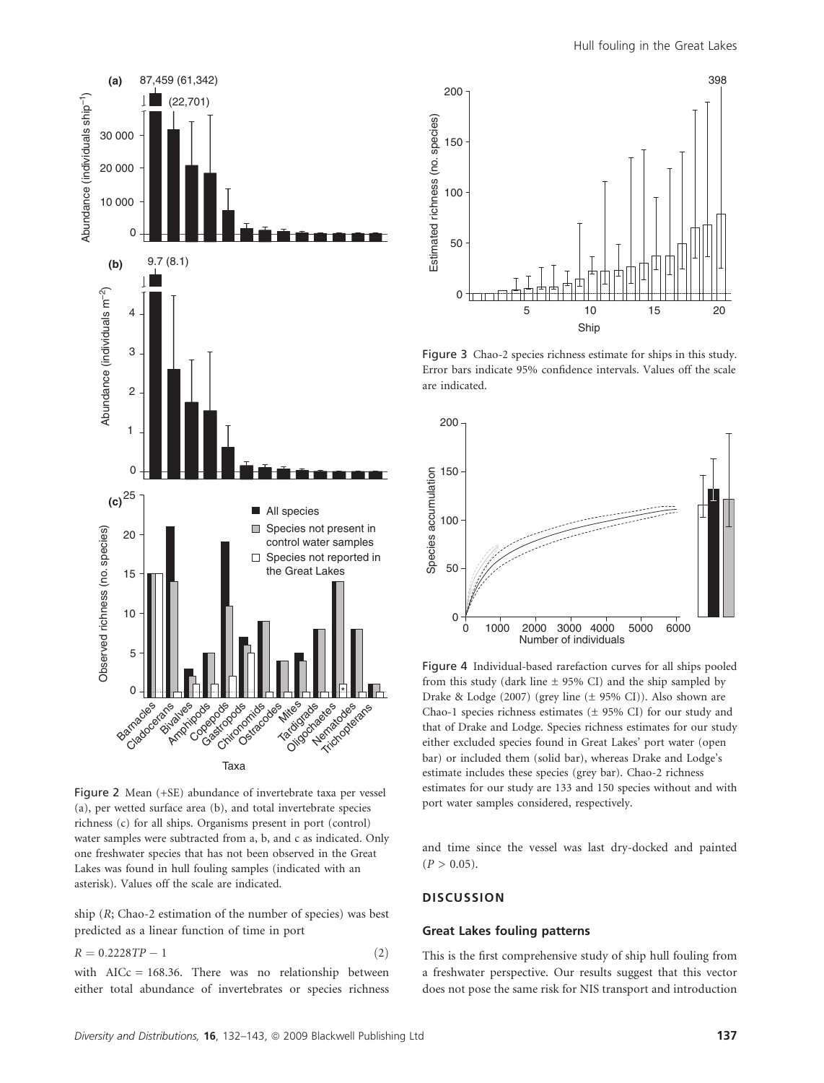

Figure 2 Mean (+SE) abundance of invertebrate taxa per vessel (a), per wetted surface area (b), and total invertebrate species richness (c) for all ships. Organisms present in port (control) water samples were subtracted from a, b, and c as indicated. Only one freshwater species that has not been observed in the Great Lakes was found in hull fouling samples (indicated with an asterisk). Values off the scale are indicated.

ship (R; Chao-2 estimation of the number of species) was best predicted as a linear function of time in port

 $R = 0.2228TP - 1$  $-1$  (2)

with  $AICc = 168.36$ . There was no relationship between either total abundance of invertebrates or species richness



Figure 3 Chao-2 species richness estimate for ships in this study. Error bars indicate 95% confidence intervals. Values off the scale are indicated.



Figure 4 Individual-based rarefaction curves for all ships pooled from this study (dark line  $\pm$  95% CI) and the ship sampled by Drake & Lodge (2007) (grey line (± 95% CI)). Also shown are Chao-1 species richness estimates  $(\pm 95\%$  CI) for our study and that of Drake and Lodge. Species richness estimates for our study either excluded species found in Great Lakes' port water (open bar) or included them (solid bar), whereas Drake and Lodge's estimate includes these species (grey bar). Chao-2 richness estimates for our study are 133 and 150 species without and with port water samples considered, respectively.

and time since the vessel was last dry-docked and painted  $(P > 0.05)$ .

### **DISCUSSION**

#### Great Lakes fouling patterns

This is the first comprehensive study of ship hull fouling from a freshwater perspective. Our results suggest that this vector does not pose the same risk for NIS transport and introduction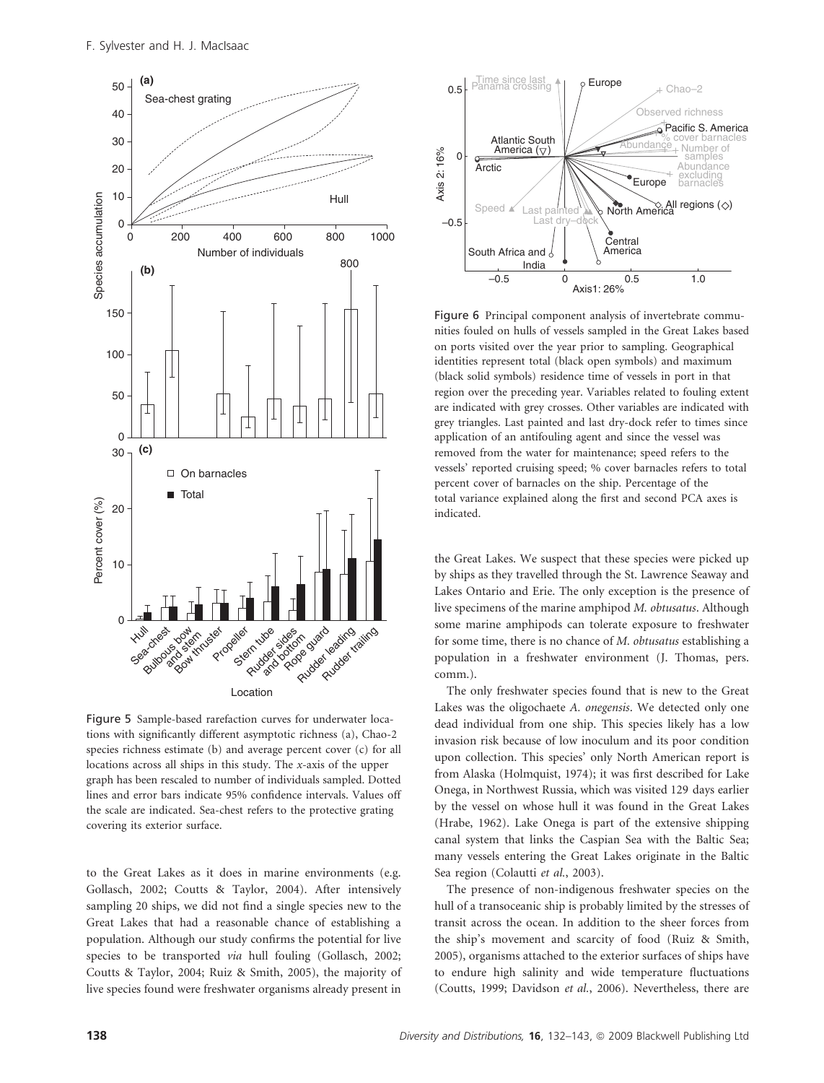

Figure 5 Sample-based rarefaction curves for underwater locations with significantly different asymptotic richness (a), Chao-2 species richness estimate (b) and average percent cover (c) for all locations across all ships in this study. The x-axis of the upper graph has been rescaled to number of individuals sampled. Dotted lines and error bars indicate 95% confidence intervals. Values off the scale are indicated. Sea-chest refers to the protective grating covering its exterior surface.

to the Great Lakes as it does in marine environments (e.g. Gollasch, 2002; Coutts & Taylor, 2004). After intensively sampling 20 ships, we did not find a single species new to the Great Lakes that had a reasonable chance of establishing a population. Although our study confirms the potential for live species to be transported via hull fouling (Gollasch, 2002; Coutts & Taylor, 2004; Ruiz & Smith, 2005), the majority of live species found were freshwater organisms already present in



Figure 6 Principal component analysis of invertebrate communities fouled on hulls of vessels sampled in the Great Lakes based on ports visited over the year prior to sampling. Geographical identities represent total (black open symbols) and maximum (black solid symbols) residence time of vessels in port in that region over the preceding year. Variables related to fouling extent are indicated with grey crosses. Other variables are indicated with grey triangles. Last painted and last dry-dock refer to times since application of an antifouling agent and since the vessel was removed from the water for maintenance; speed refers to the vessels' reported cruising speed; % cover barnacles refers to total percent cover of barnacles on the ship. Percentage of the total variance explained along the first and second PCA axes is indicated.

the Great Lakes. We suspect that these species were picked up by ships as they travelled through the St. Lawrence Seaway and Lakes Ontario and Erie. The only exception is the presence of live specimens of the marine amphipod M. obtusatus. Although some marine amphipods can tolerate exposure to freshwater for some time, there is no chance of M. obtusatus establishing a population in a freshwater environment (J. Thomas, pers. comm.).

The only freshwater species found that is new to the Great Lakes was the oligochaete A. onegensis. We detected only one dead individual from one ship. This species likely has a low invasion risk because of low inoculum and its poor condition upon collection. This species' only North American report is from Alaska (Holmquist, 1974); it was first described for Lake Onega, in Northwest Russia, which was visited 129 days earlier by the vessel on whose hull it was found in the Great Lakes (Hrabe, 1962). Lake Onega is part of the extensive shipping canal system that links the Caspian Sea with the Baltic Sea; many vessels entering the Great Lakes originate in the Baltic Sea region (Colautti et al., 2003).

The presence of non-indigenous freshwater species on the hull of a transoceanic ship is probably limited by the stresses of transit across the ocean. In addition to the sheer forces from the ship's movement and scarcity of food (Ruiz & Smith, 2005), organisms attached to the exterior surfaces of ships have to endure high salinity and wide temperature fluctuations (Coutts, 1999; Davidson et al., 2006). Nevertheless, there are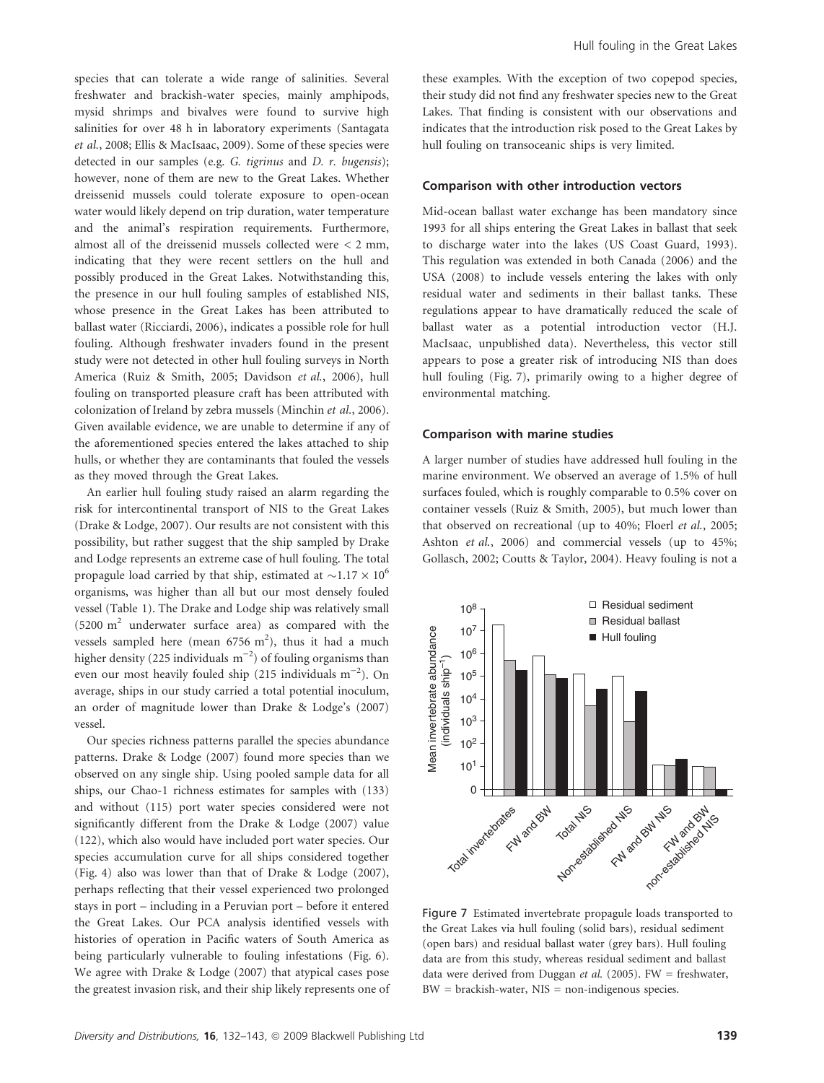species that can tolerate a wide range of salinities. Several freshwater and brackish-water species, mainly amphipods, mysid shrimps and bivalves were found to survive high salinities for over 48 h in laboratory experiments (Santagata et al., 2008; Ellis & MacIsaac, 2009). Some of these species were detected in our samples (e.g. G. tigrinus and D. r. bugensis); however, none of them are new to the Great Lakes. Whether dreissenid mussels could tolerate exposure to open-ocean water would likely depend on trip duration, water temperature and the animal's respiration requirements. Furthermore, almost all of the dreissenid mussels collected were  $\leq 2$  mm, indicating that they were recent settlers on the hull and possibly produced in the Great Lakes. Notwithstanding this, the presence in our hull fouling samples of established NIS, whose presence in the Great Lakes has been attributed to ballast water (Ricciardi, 2006), indicates a possible role for hull fouling. Although freshwater invaders found in the present study were not detected in other hull fouling surveys in North America (Ruiz & Smith, 2005; Davidson et al., 2006), hull fouling on transported pleasure craft has been attributed with colonization of Ireland by zebra mussels (Minchin et al., 2006). Given available evidence, we are unable to determine if any of the aforementioned species entered the lakes attached to ship hulls, or whether they are contaminants that fouled the vessels as they moved through the Great Lakes.

An earlier hull fouling study raised an alarm regarding the risk for intercontinental transport of NIS to the Great Lakes (Drake & Lodge, 2007). Our results are not consistent with this possibility, but rather suggest that the ship sampled by Drake and Lodge represents an extreme case of hull fouling. The total propagule load carried by that ship, estimated at  $\sim$ 1.17  $\times$  10<sup>6</sup> organisms, was higher than all but our most densely fouled vessel (Table 1). The Drake and Lodge ship was relatively small  $(5200 \text{ m}^2$  underwater surface area) as compared with the vessels sampled here (mean  $6756 \text{ m}^2$ ), thus it had a much higher density (225 individuals  $m^{-2}$ ) of fouling organisms than even our most heavily fouled ship (215 individuals  $m^{-2}$ ). On average, ships in our study carried a total potential inoculum, an order of magnitude lower than Drake & Lodge's (2007) vessel.

Our species richness patterns parallel the species abundance patterns. Drake & Lodge (2007) found more species than we observed on any single ship. Using pooled sample data for all ships, our Chao-1 richness estimates for samples with (133) and without (115) port water species considered were not significantly different from the Drake & Lodge (2007) value (122), which also would have included port water species. Our species accumulation curve for all ships considered together (Fig. 4) also was lower than that of Drake & Lodge (2007), perhaps reflecting that their vessel experienced two prolonged stays in port – including in a Peruvian port – before it entered the Great Lakes. Our PCA analysis identified vessels with histories of operation in Pacific waters of South America as being particularly vulnerable to fouling infestations (Fig. 6). We agree with Drake & Lodge (2007) that atypical cases pose the greatest invasion risk, and their ship likely represents one of these examples. With the exception of two copepod species, their study did not find any freshwater species new to the Great Lakes. That finding is consistent with our observations and indicates that the introduction risk posed to the Great Lakes by hull fouling on transoceanic ships is very limited.

#### Comparison with other introduction vectors

Mid-ocean ballast water exchange has been mandatory since 1993 for all ships entering the Great Lakes in ballast that seek to discharge water into the lakes (US Coast Guard, 1993). This regulation was extended in both Canada (2006) and the USA (2008) to include vessels entering the lakes with only residual water and sediments in their ballast tanks. These regulations appear to have dramatically reduced the scale of ballast water as a potential introduction vector (H.J. MacIsaac, unpublished data). Nevertheless, this vector still appears to pose a greater risk of introducing NIS than does hull fouling (Fig. 7), primarily owing to a higher degree of environmental matching.

#### Comparison with marine studies

A larger number of studies have addressed hull fouling in the marine environment. We observed an average of 1.5% of hull surfaces fouled, which is roughly comparable to 0.5% cover on container vessels (Ruiz & Smith, 2005), but much lower than that observed on recreational (up to 40%; Floerl et al., 2005; Ashton et al., 2006) and commercial vessels (up to 45%; Gollasch, 2002; Coutts & Taylor, 2004). Heavy fouling is not a



Figure 7 Estimated invertebrate propagule loads transported to the Great Lakes via hull fouling (solid bars), residual sediment (open bars) and residual ballast water (grey bars). Hull fouling data are from this study, whereas residual sediment and ballast data were derived from Duggan *et al.* (2005). FW = freshwater,  $BW = brackish-water$ ,  $NIS = non-indigenous species$ .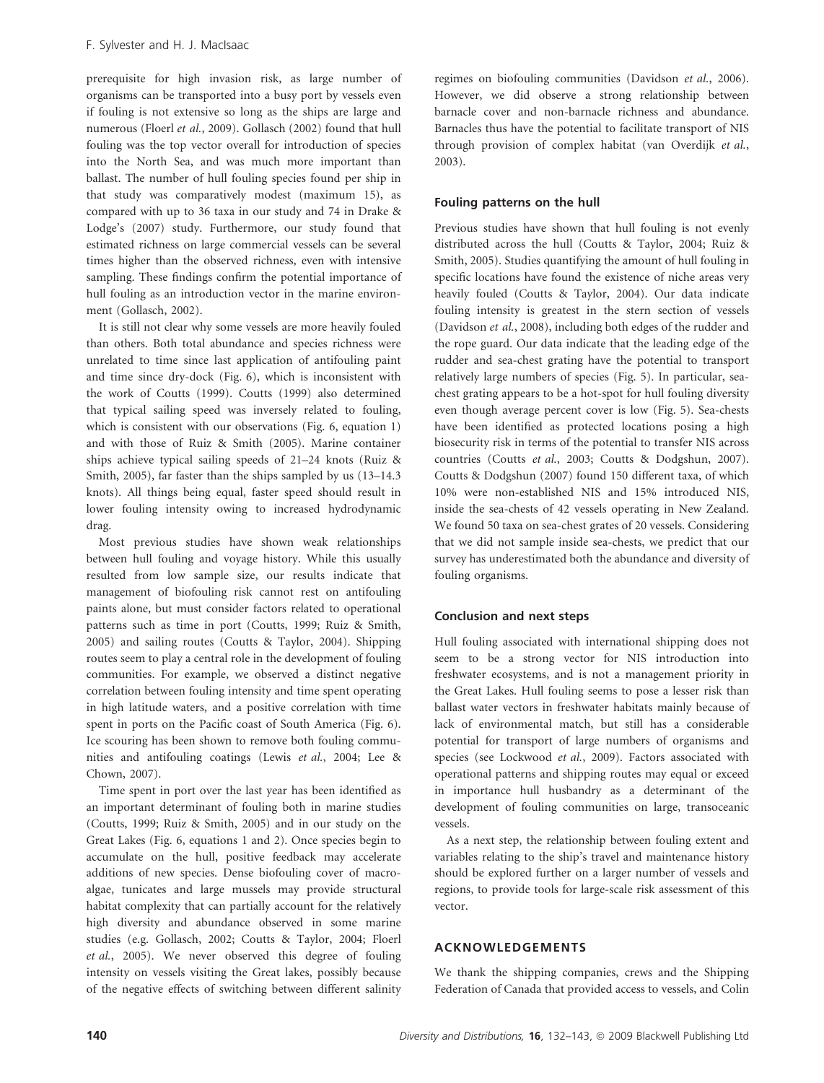prerequisite for high invasion risk, as large number of organisms can be transported into a busy port by vessels even if fouling is not extensive so long as the ships are large and numerous (Floerl et al., 2009). Gollasch (2002) found that hull fouling was the top vector overall for introduction of species into the North Sea, and was much more important than ballast. The number of hull fouling species found per ship in that study was comparatively modest (maximum 15), as compared with up to 36 taxa in our study and 74 in Drake & Lodge's (2007) study. Furthermore, our study found that estimated richness on large commercial vessels can be several times higher than the observed richness, even with intensive sampling. These findings confirm the potential importance of hull fouling as an introduction vector in the marine environment (Gollasch, 2002).

It is still not clear why some vessels are more heavily fouled than others. Both total abundance and species richness were unrelated to time since last application of antifouling paint and time since dry-dock (Fig. 6), which is inconsistent with the work of Coutts (1999). Coutts (1999) also determined that typical sailing speed was inversely related to fouling, which is consistent with our observations (Fig. 6, equation 1) and with those of Ruiz & Smith (2005). Marine container ships achieve typical sailing speeds of 21–24 knots (Ruiz & Smith, 2005), far faster than the ships sampled by us (13–14.3 knots). All things being equal, faster speed should result in lower fouling intensity owing to increased hydrodynamic drag.

Most previous studies have shown weak relationships between hull fouling and voyage history. While this usually resulted from low sample size, our results indicate that management of biofouling risk cannot rest on antifouling paints alone, but must consider factors related to operational patterns such as time in port (Coutts, 1999; Ruiz & Smith, 2005) and sailing routes (Coutts & Taylor, 2004). Shipping routes seem to play a central role in the development of fouling communities. For example, we observed a distinct negative correlation between fouling intensity and time spent operating in high latitude waters, and a positive correlation with time spent in ports on the Pacific coast of South America (Fig. 6). Ice scouring has been shown to remove both fouling communities and antifouling coatings (Lewis et al., 2004; Lee & Chown, 2007).

Time spent in port over the last year has been identified as an important determinant of fouling both in marine studies (Coutts, 1999; Ruiz & Smith, 2005) and in our study on the Great Lakes (Fig. 6, equations 1 and 2). Once species begin to accumulate on the hull, positive feedback may accelerate additions of new species. Dense biofouling cover of macroalgae, tunicates and large mussels may provide structural habitat complexity that can partially account for the relatively high diversity and abundance observed in some marine studies (e.g. Gollasch, 2002; Coutts & Taylor, 2004; Floerl et al., 2005). We never observed this degree of fouling intensity on vessels visiting the Great lakes, possibly because of the negative effects of switching between different salinity regimes on biofouling communities (Davidson et al., 2006). However, we did observe a strong relationship between barnacle cover and non-barnacle richness and abundance. Barnacles thus have the potential to facilitate transport of NIS through provision of complex habitat (van Overdijk et al., 2003).

# Fouling patterns on the hull

Previous studies have shown that hull fouling is not evenly distributed across the hull (Coutts & Taylor, 2004; Ruiz & Smith, 2005). Studies quantifying the amount of hull fouling in specific locations have found the existence of niche areas very heavily fouled (Coutts & Taylor, 2004). Our data indicate fouling intensity is greatest in the stern section of vessels (Davidson et al., 2008), including both edges of the rudder and the rope guard. Our data indicate that the leading edge of the rudder and sea-chest grating have the potential to transport relatively large numbers of species (Fig. 5). In particular, seachest grating appears to be a hot-spot for hull fouling diversity even though average percent cover is low (Fig. 5). Sea-chests have been identified as protected locations posing a high biosecurity risk in terms of the potential to transfer NIS across countries (Coutts et al., 2003; Coutts & Dodgshun, 2007). Coutts & Dodgshun (2007) found 150 different taxa, of which 10% were non-established NIS and 15% introduced NIS, inside the sea-chests of 42 vessels operating in New Zealand. We found 50 taxa on sea-chest grates of 20 vessels. Considering that we did not sample inside sea-chests, we predict that our survey has underestimated both the abundance and diversity of fouling organisms.

#### Conclusion and next steps

Hull fouling associated with international shipping does not seem to be a strong vector for NIS introduction into freshwater ecosystems, and is not a management priority in the Great Lakes. Hull fouling seems to pose a lesser risk than ballast water vectors in freshwater habitats mainly because of lack of environmental match, but still has a considerable potential for transport of large numbers of organisms and species (see Lockwood et al., 2009). Factors associated with operational patterns and shipping routes may equal or exceed in importance hull husbandry as a determinant of the development of fouling communities on large, transoceanic vessels.

As a next step, the relationship between fouling extent and variables relating to the ship's travel and maintenance history should be explored further on a larger number of vessels and regions, to provide tools for large-scale risk assessment of this vector.

# ACKNOWLEDGEMENTS

We thank the shipping companies, crews and the Shipping Federation of Canada that provided access to vessels, and Colin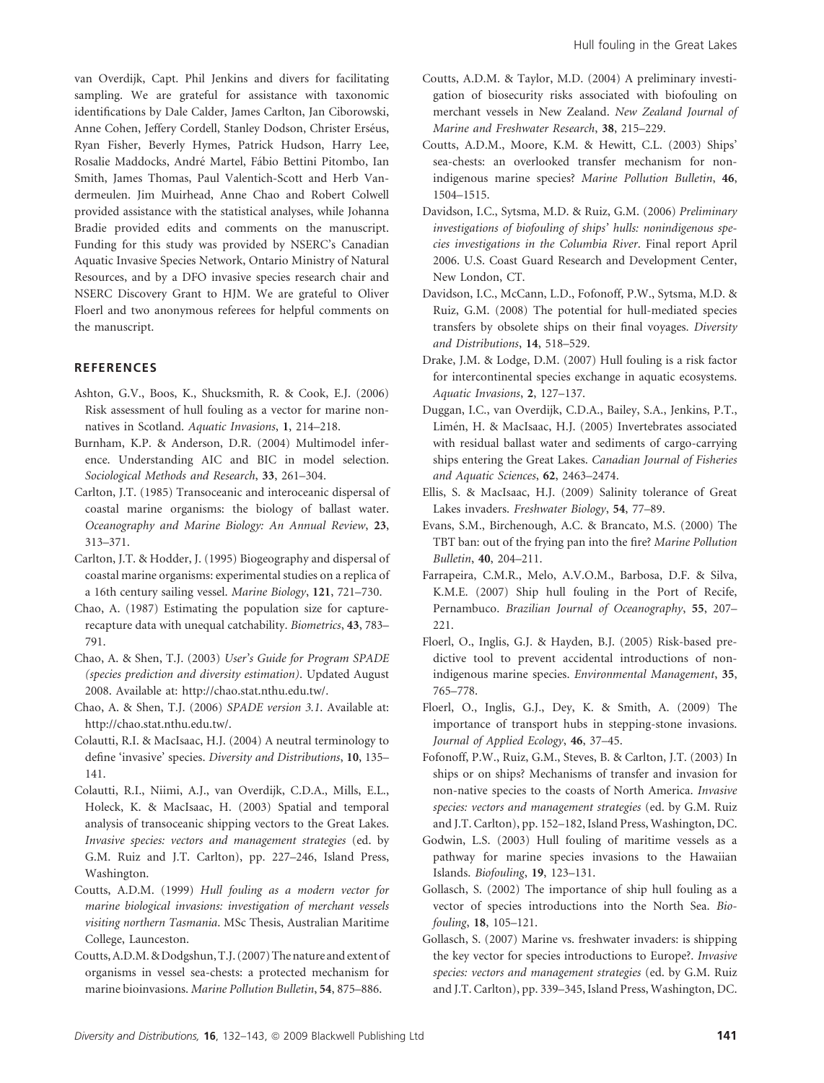van Overdijk, Capt. Phil Jenkins and divers for facilitating sampling. We are grateful for assistance with taxonomic identifications by Dale Calder, James Carlton, Jan Ciborowski, Anne Cohen, Jeffery Cordell, Stanley Dodson, Christer Erséus, Ryan Fisher, Beverly Hymes, Patrick Hudson, Harry Lee, Rosalie Maddocks, André Martel, Fábio Bettini Pitombo, Ian Smith, James Thomas, Paul Valentich-Scott and Herb Vandermeulen. Jim Muirhead, Anne Chao and Robert Colwell provided assistance with the statistical analyses, while Johanna Bradie provided edits and comments on the manuscript. Funding for this study was provided by NSERC's Canadian Aquatic Invasive Species Network, Ontario Ministry of Natural Resources, and by a DFO invasive species research chair and NSERC Discovery Grant to HJM. We are grateful to Oliver Floerl and two anonymous referees for helpful comments on the manuscript.

# **REFERENCES**

- Ashton, G.V., Boos, K., Shucksmith, R. & Cook, E.J. (2006) Risk assessment of hull fouling as a vector for marine nonnatives in Scotland. Aquatic Invasions, 1, 214–218.
- Burnham, K.P. & Anderson, D.R. (2004) Multimodel inference. Understanding AIC and BIC in model selection. Sociological Methods and Research, 33, 261–304.
- Carlton, J.T. (1985) Transoceanic and interoceanic dispersal of coastal marine organisms: the biology of ballast water. Oceanography and Marine Biology: An Annual Review, 23, 313–371.
- Carlton, J.T. & Hodder, J. (1995) Biogeography and dispersal of coastal marine organisms: experimental studies on a replica of a 16th century sailing vessel. Marine Biology, 121, 721–730.
- Chao, A. (1987) Estimating the population size for capturerecapture data with unequal catchability. Biometrics, 43, 783– 791.
- Chao, A. & Shen, T.J. (2003) User's Guide for Program SPADE (species prediction and diversity estimation). Updated August 2008. Available at: http://chao.stat.nthu.edu.tw/.
- Chao, A. & Shen, T.J. (2006) SPADE version 3.1. Available at: http://chao.stat.nthu.edu.tw/.
- Colautti, R.I. & MacIsaac, H.J. (2004) A neutral terminology to define 'invasive' species. Diversity and Distributions, 10, 135– 141.
- Colautti, R.I., Niimi, A.J., van Overdijk, C.D.A., Mills, E.L., Holeck, K. & MacIsaac, H. (2003) Spatial and temporal analysis of transoceanic shipping vectors to the Great Lakes. Invasive species: vectors and management strategies (ed. by G.M. Ruiz and J.T. Carlton), pp. 227–246, Island Press, Washington.
- Coutts, A.D.M. (1999) Hull fouling as a modern vector for marine biological invasions: investigation of merchant vessels visiting northern Tasmania. MSc Thesis, Australian Maritime College, Launceston.
- Coutts, A.D.M. & Dodgshun, T.J. (2007) The nature and extent of organisms in vessel sea-chests: a protected mechanism for marine bioinvasions. Marine Pollution Bulletin, 54, 875–886.
- Coutts, A.D.M. & Taylor, M.D. (2004) A preliminary investigation of biosecurity risks associated with biofouling on merchant vessels in New Zealand. New Zealand Journal of Marine and Freshwater Research, 38, 215–229.
- Coutts, A.D.M., Moore, K.M. & Hewitt, C.L. (2003) Ships' sea-chests: an overlooked transfer mechanism for nonindigenous marine species? Marine Pollution Bulletin, 46, 1504–1515.
- Davidson, I.C., Sytsma, M.D. & Ruiz, G.M. (2006) Preliminary investigations of biofouling of ships' hulls: nonindigenous species investigations in the Columbia River. Final report April 2006. U.S. Coast Guard Research and Development Center, New London, CT.
- Davidson, I.C., McCann, L.D., Fofonoff, P.W., Sytsma, M.D. & Ruiz, G.M. (2008) The potential for hull-mediated species transfers by obsolete ships on their final voyages. Diversity and Distributions, 14, 518–529.
- Drake, J.M. & Lodge, D.M. (2007) Hull fouling is a risk factor for intercontinental species exchange in aquatic ecosystems. Aquatic Invasions, 2, 127–137.
- Duggan, I.C., van Overdijk, C.D.A., Bailey, S.A., Jenkins, P.T., Limén, H. & MacIsaac, H.J. (2005) Invertebrates associated with residual ballast water and sediments of cargo-carrying ships entering the Great Lakes. Canadian Journal of Fisheries and Aquatic Sciences, 62, 2463–2474.
- Ellis, S. & MacIsaac, H.J. (2009) Salinity tolerance of Great Lakes invaders. Freshwater Biology, 54, 77–89.
- Evans, S.M., Birchenough, A.C. & Brancato, M.S. (2000) The TBT ban: out of the frying pan into the fire? Marine Pollution Bulletin, 40, 204–211.
- Farrapeira, C.M.R., Melo, A.V.O.M., Barbosa, D.F. & Silva, K.M.E. (2007) Ship hull fouling in the Port of Recife, Pernambuco. Brazilian Journal of Oceanography, 55, 207– 221.
- Floerl, O., Inglis, G.J. & Hayden, B.J. (2005) Risk-based predictive tool to prevent accidental introductions of nonindigenous marine species. Environmental Management, 35, 765–778.
- Floerl, O., Inglis, G.J., Dey, K. & Smith, A. (2009) The importance of transport hubs in stepping-stone invasions. Journal of Applied Ecology, 46, 37–45.
- Fofonoff, P.W., Ruiz, G.M., Steves, B. & Carlton, J.T. (2003) In ships or on ships? Mechanisms of transfer and invasion for non-native species to the coasts of North America. Invasive species: vectors and management strategies (ed. by G.M. Ruiz and J.T. Carlton), pp. 152–182, Island Press, Washington, DC.
- Godwin, L.S. (2003) Hull fouling of maritime vessels as a pathway for marine species invasions to the Hawaiian Islands. Biofouling, 19, 123–131.
- Gollasch, S. (2002) The importance of ship hull fouling as a vector of species introductions into the North Sea. Biofouling, 18, 105–121.
- Gollasch, S. (2007) Marine vs. freshwater invaders: is shipping the key vector for species introductions to Europe?. Invasive species: vectors and management strategies (ed. by G.M. Ruiz and J.T. Carlton), pp. 339–345, Island Press, Washington, DC.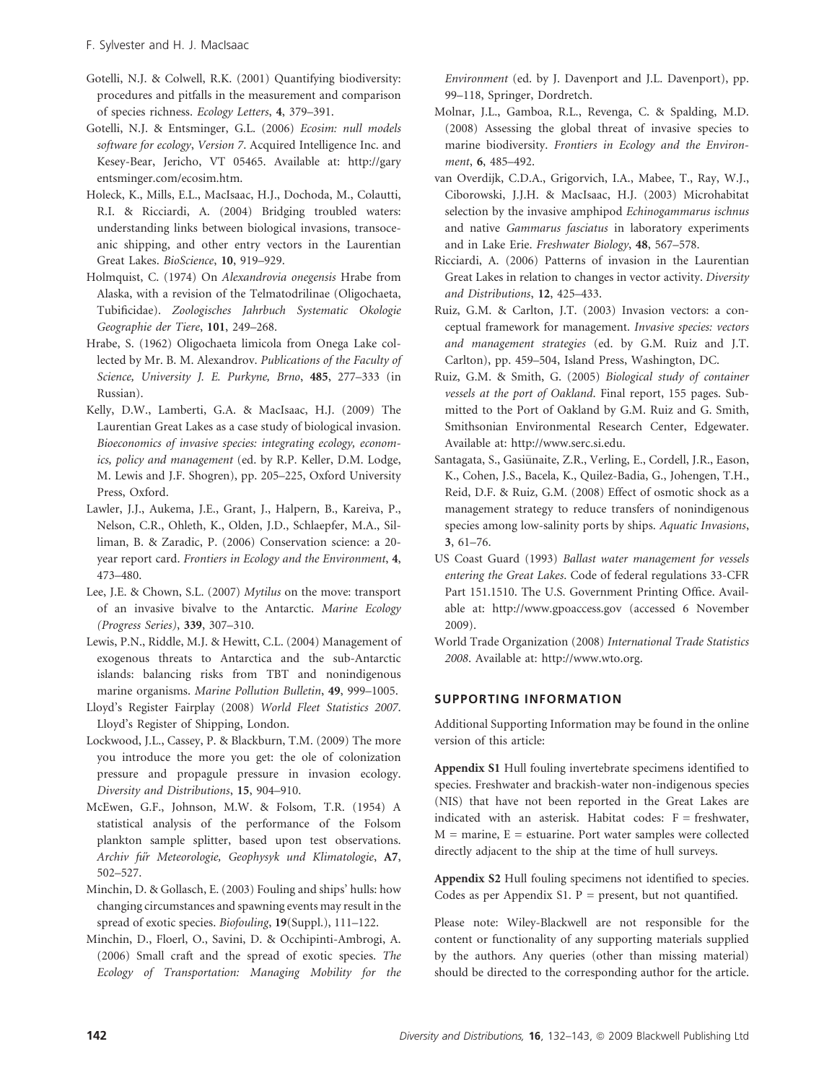- Gotelli, N.J. & Colwell, R.K. (2001) Quantifying biodiversity: procedures and pitfalls in the measurement and comparison of species richness. Ecology Letters, 4, 379–391.
- Gotelli, N.J. & Entsminger, G.L. (2006) Ecosim: null models software for ecology, Version 7. Acquired Intelligence Inc. and Kesey-Bear, Jericho, VT 05465. Available at: http://gary entsminger.com/ecosim.htm.
- Holeck, K., Mills, E.L., MacIsaac, H.J., Dochoda, M., Colautti, R.I. & Ricciardi, A. (2004) Bridging troubled waters: understanding links between biological invasions, transoceanic shipping, and other entry vectors in the Laurentian Great Lakes. BioScience, 10, 919–929.
- Holmquist, C. (1974) On Alexandrovia onegensis Hrabe from Alaska, with a revision of the Telmatodrilinae (Oligochaeta, Tubificidae). Zoologisches Jahrbuch Systematic Okologie Geographie der Tiere, 101, 249–268.
- Hrabe, S. (1962) Oligochaeta limicola from Onega Lake collected by Mr. B. M. Alexandrov. Publications of the Faculty of Science, University J. E. Purkyne, Brno, 485, 277–333 (in Russian).
- Kelly, D.W., Lamberti, G.A. & MacIsaac, H.J. (2009) The Laurentian Great Lakes as a case study of biological invasion. Bioeconomics of invasive species: integrating ecology, economics, policy and management (ed. by R.P. Keller, D.M. Lodge, M. Lewis and J.F. Shogren), pp. 205–225, Oxford University Press, Oxford.
- Lawler, J.J., Aukema, J.E., Grant, J., Halpern, B., Kareiva, P., Nelson, C.R., Ohleth, K., Olden, J.D., Schlaepfer, M.A., Silliman, B. & Zaradic, P. (2006) Conservation science: a 20 year report card. Frontiers in Ecology and the Environment, 4, 473–480.
- Lee, J.E. & Chown, S.L. (2007) Mytilus on the move: transport of an invasive bivalve to the Antarctic. Marine Ecology (Progress Series), 339, 307–310.
- Lewis, P.N., Riddle, M.J. & Hewitt, C.L. (2004) Management of exogenous threats to Antarctica and the sub-Antarctic islands: balancing risks from TBT and nonindigenous marine organisms. Marine Pollution Bulletin, 49, 999–1005.
- Lloyd's Register Fairplay (2008) World Fleet Statistics 2007. Lloyd's Register of Shipping, London.
- Lockwood, J.L., Cassey, P. & Blackburn, T.M. (2009) The more you introduce the more you get: the ole of colonization pressure and propagule pressure in invasion ecology. Diversity and Distributions, 15, 904–910.
- McEwen, G.F., Johnson, M.W. & Folsom, T.R. (1954) A statistical analysis of the performance of the Folsom plankton sample splitter, based upon test observations. Archiv fur Meteorologie, Geophysyk und Klimatologie, A7, 502–527.
- Minchin, D. & Gollasch, E. (2003) Fouling and ships' hulls: how changing circumstances and spawning events may result in the spread of exotic species. Biofouling, 19(Suppl.), 111–122.
- Minchin, D., Floerl, O., Savini, D. & Occhipinti-Ambrogi, A. (2006) Small craft and the spread of exotic species. The Ecology of Transportation: Managing Mobility for the

Environment (ed. by J. Davenport and J.L. Davenport), pp. 99–118, Springer, Dordretch.

- Molnar, J.L., Gamboa, R.L., Revenga, C. & Spalding, M.D. (2008) Assessing the global threat of invasive species to marine biodiversity. Frontiers in Ecology and the Environment, 6, 485–492.
- van Overdijk, C.D.A., Grigorvich, I.A., Mabee, T., Ray, W.J., Ciborowski, J.J.H. & MacIsaac, H.J. (2003) Microhabitat selection by the invasive amphipod Echinogammarus ischnus and native Gammarus fasciatus in laboratory experiments and in Lake Erie. Freshwater Biology, 48, 567–578.
- Ricciardi, A. (2006) Patterns of invasion in the Laurentian Great Lakes in relation to changes in vector activity. Diversity and Distributions, 12, 425–433.
- Ruiz, G.M. & Carlton, J.T. (2003) Invasion vectors: a conceptual framework for management. Invasive species: vectors and management strategies (ed. by G.M. Ruiz and J.T. Carlton), pp. 459–504, Island Press, Washington, DC.
- Ruiz, G.M. & Smith, G. (2005) Biological study of container vessels at the port of Oakland. Final report, 155 pages. Submitted to the Port of Oakland by G.M. Ruiz and G. Smith, Smithsonian Environmental Research Center, Edgewater. Available at: http://www.serc.si.edu.
- Santagata, S., Gasiūnaite, Z.R., Verling, E., Cordell, J.R., Eason, K., Cohen, J.S., Bacela, K., Quilez-Badia, G., Johengen, T.H., Reid, D.F. & Ruiz, G.M. (2008) Effect of osmotic shock as a management strategy to reduce transfers of nonindigenous species among low-salinity ports by ships. Aquatic Invasions, 3, 61–76.
- US Coast Guard (1993) Ballast water management for vessels entering the Great Lakes. Code of federal regulations 33-CFR Part 151.1510. The U.S. Government Printing Office. Available at: http://www.gpoaccess.gov (accessed 6 November 2009).
- World Trade Organization (2008) International Trade Statistics 2008. Available at: http://www.wto.org.

# SUPPORTING INFORMATION

Additional Supporting Information may be found in the online version of this article:

Appendix S1 Hull fouling invertebrate specimens identified to species. Freshwater and brackish-water non-indigenous species (NIS) that have not been reported in the Great Lakes are indicated with an asterisk. Habitat codes:  $F =$  freshwater,  $M =$  marine,  $E =$  estuarine. Port water samples were collected directly adjacent to the ship at the time of hull surveys.

Appendix S2 Hull fouling specimens not identified to species. Codes as per Appendix S1.  $P =$  present, but not quantified.

Please note: Wiley-Blackwell are not responsible for the content or functionality of any supporting materials supplied by the authors. Any queries (other than missing material) should be directed to the corresponding author for the article.